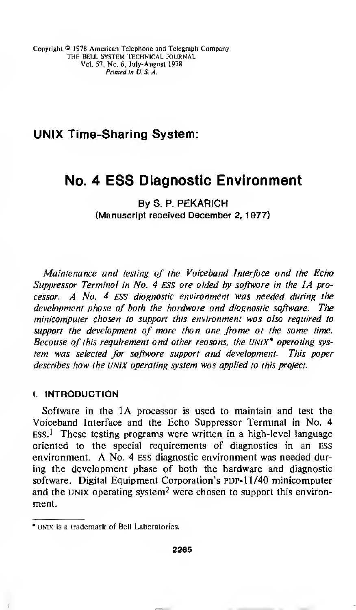## UNIX Time-Sharing System:

# No. 4 ESS Diagnostic Environment

By S. P. PEKARICH (Manuscript received December 2, 1977)

Maintenance and testing of the Voiceband Interfoce ond the Echo Suppressor Terminol in No. 4 ESS ore oided by softwore in the 1A processor.  $A$  No. 4 ESS diognostic environment was needed during the development phase of both the hardware and diagnostic software. The minicomputer chosen to support this environment was also required to support the development of more thon one frome ot the some time. Becouse of this requirement ond other reosons, the UNIX\* operoting system was selected for softwore support and development. This poper describes how the UNIX operating system was applied to this project.

#### I. INTRODUCTION

Software in the 1A processor is used to maintain and test the Voiceband Interface and the Echo Suppressor Terminal in No. 4  $Ess<sup>1</sup>$ . These testing programs were written in a high-level language oriented to the special requirements of diagnostics in an ESS environment. A No. <sup>4</sup> ESS diagnostic environment was needed during the development phase of both the hardware and diagnostic software. Digital Equipment Corporation's PDP-11/40 minicomputer and the UNIX operating system<sup>2</sup> were chosen to support this environment.

<sup>\*</sup> unix is a trademark of Bell Laboratories.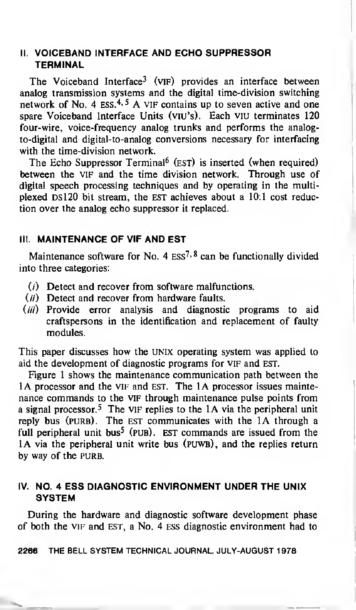### II. VOICEBAND INTERFACE AND ECHO SUPPRESSOR TERMINAL

The Voiceband Interface<sup>3</sup> (VIF) provides an interface between analog transmission systems and the digital time-division switching network of No. 4  $ESS<sup>4, 5</sup>$  A VIF contains up to seven active and one spare Voiceband Interface Units (viu's). Each viu terminates 120 four-wire, voice-frequency analog trunks and performs the analogto-digital and digital-to-analog conversions necessary for interfacing with the time-division network.

The Echo Suppressor Terminal<sup>6</sup> (EST) is inserted (when required) between the VIF and the time division network. Through use of digital speech processing techniques and by operating in the multiplexed DS120 bit stream, the EST achieves about a 10:1 cost reduction over the analog echo suppressor it replaced.

### III. MAINTENANCE OF VIF AND EST

Maintenance software for No. 4  $ES<sup>7,8</sup>$  can be functionally divided into three categories:

- (/) Detect and recover from software malfunctions.
- $(i)$  Detect and recover from hardware faults.
- $(iii)$  Provide error analysis and diagnostic programs to aid craftspersons in the identification and replacement of faulty modules.

This paper discusses how the UNIX operating system was applied to aid the development of diagnostic programs for vif and EST.

Figure <sup>1</sup> shows the maintenance communication path between the 1A processor and the VIF and EST. The 1A processor issues maintenance commands to the vif through maintenance pulse points from a signal processor.<sup>5</sup> The VIF replies to the 1A via the peripheral unit reply bus (PURB). The EST communicates with the 1A through a full peripheral unit bus<sup>5</sup> (PUB). EST commands are issued from the 1A via the peripheral unit write bus (PUWB), and the replies return by way of the PURB.

#### IV. NO. 4 ESS DIAGNOSTIC ENVIRONMENT UNDER THE UNIX **SYSTEM**

During the hardware and diagnostic software development phase of both the vif and est, a No. 4 ess diagnostic environment had to

2266 THE BELL SYSTEM TECHNICAL JOURNAL, JULY-AUGUST <sup>1</sup> 978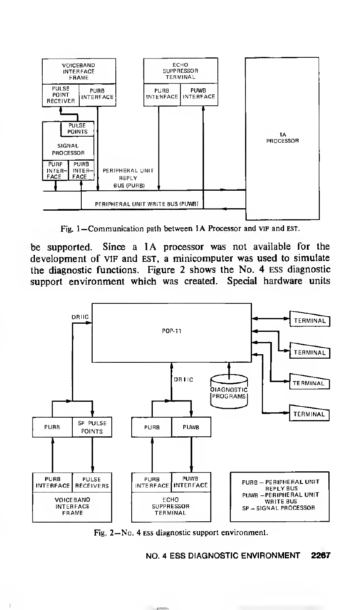

Fig. 1-Communication path between IA Processor and vir and EST.

be supported. Since a 1A processor was not available for the development of VIF and EST, a minicomputer was used to simulate the diagnostic functions. Figure 2 shows the No. 4 ess diagnostic support environment which was created. Special hardware units



Fig. 2—No. 4 ess diagnostic support environment.

NO. 4 ESS DIAGNOSTIC ENVIRONMENT 2267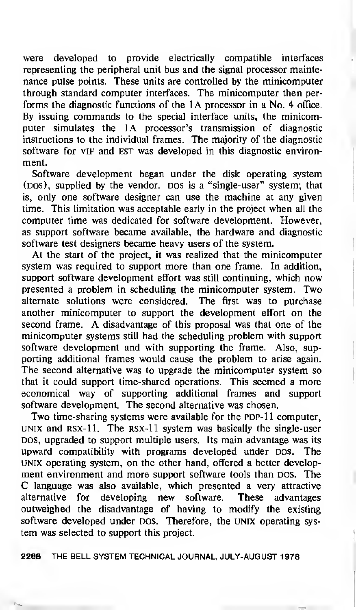were developed to provide electrically compatible interfaces representing the peripheral unit bus and the signal processor maintenance pulse points. These units are controlled by the minicomputer through standard computer interfaces. The minicomputer then performs the diagnostic functions of the 1A processor in <sup>a</sup> No. 4 office. By issuing commands to the special interface units, the minicomputer simulates the 1A processor's transmission of diagnostic instructions to the individual frames. The majority of the diagnostic software for VIF and EST was developed in this diagnostic environment.

Software development began under the disk operating system (DOS), supplied by the vendor. DOS is a "single-user" system; that is, only one software designer can use the machine at any given time. This limitation was acceptable early in the project when all the computer time was dedicated for software development. However, as support software became available, the hardware and diagnostic software test designers became heavy users of the system.

At the start of the project, it was realized that the minicomputer system was required to support more than one frame. In addition, support software development effort was still continuing, which now presented <sup>a</sup> problem in scheduling the minicomputer system. Two alternate solutions were considered. The first was to purchase another minicomputer to support the development effort on the second frame. A disadvantage of this proposal was that one of the minicomputer systems still had the scheduling problem with support software development and with supporting the frame. Also, supporting additional frames would cause the problem to arise again. The second alternative was to upgrade the minicomputer system so that it could support time-shared operations. This seemed a more economical way of supporting additional frames and support software development. The second alternative was chosen.

Two time-sharing systems were available for the PDP-11 computer, UNIX and RSX-11. The RSX-11 system was basically the single-user DOS, upgraded to support multiple users. Its main advantage was its upward compatibility with programs developed under DOS. The UNIX operating system, on the other hand, offered a better development environment and more support software tools than DOS. The C language was also available, which presented <sup>a</sup> very attractive alternative for developing new software. These advantages outweighed the disadvantage of having to modify the existing software developed under DOS. Therefore, the UNIX operating system was selected to support this project.

2268 THE BELL SYSTEM TECHNICAL JOURNAL, JULY-AUGUST <sup>1</sup>978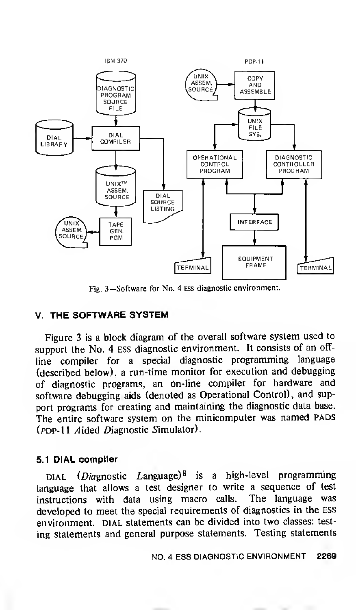

Fig. 3—Software for No. 4 ess diagnostic environment.

#### V. THE SOFTWARE SYSTEM

Figure 3 is a block diagram of the overall software system used to support the No. 4 ess diagnostic environment. It consists of an offline compiler for <sup>a</sup> special diagnostic programming language (described below), <sup>a</sup> run-time monitor for execution and debugging of diagnostic programs, an On-line compiler for hardware and software debugging aids (denoted as Operational Control), and support programs for creating and maintaining the diagnostic data base. The entire software system on the minicomputer was named PADS ( $PDP-11$  Aided Diagnostic Simulator).

#### 5.1 DIAL compiler

DIAL (*Diagnostic Language*)<sup>8</sup> is a high-level programming language that allows a test designer to write <sup>a</sup> sequence of test instructions with data using macro calls. The language was developed to meet the special requirements of diagnostics in the ess environment. DIAL statements can be divided into two classes: testing statements and general purpose statements. Testing statements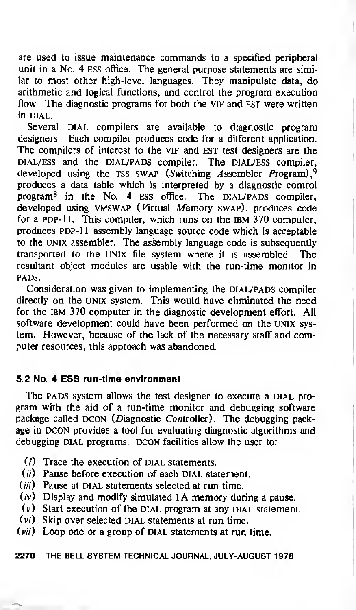are used to issue maintenance commands to a specified peripheral unit in a No. 4 ESS office. The general purpose statements are similar to most other high-level languages. They manipulate data, do arithmetic and logical functions, and control the program execution flow. The diagnostic programs for both the VIF and EST were written in dial.

Several DIAL compilers are available to diagnostic program designers. Each compiler produces code for a different application. The compilers of interest to the VIF and EST test designers are the DIAL/ESS and the DIAL/PADS compiler. The DIAL/ESS compiler, developed using the TSS SWAP (Switching Assembler Program),<sup>9</sup> produces a data table which is interpreted by a diagnostic control program $8$  in the No. 4 ESS office. The DIAL/PADS compiler, developed using VMSWAP (Virtual Memory SWAP), produces code for a PDP-11. This compiler, which runs on the IBM 370 computer, produces PDP-11 assembly language source code which is acceptable to the UNIX assembler. The assembly language code is subsequently transported to the Unix file system where it is assembled. The resultant object modules are usable with the run-time monitor in PADS.

Consideration was given to implementing the DIAL/PADS compiler directly on the UNIX system. This would have eliminated the need for the IBM 370 computer in the diagnostic development effort. All software development could have been performed on the UNIX system. However, because of the lack of the necessary staff and computer resources, this approach was abandoned.

#### 5.2 No. 4 ESS run-time environment

The PADS system allows the test designer to execute a DIAL program with the aid of a run-time monitor and debugging software package called DCON (Diagnostic Controller). The debugging package in DCON provides a tool for evaluating diagnostic algorithms and debugging DIAL programs. DCON facilities allow the user to:

- $(i)$  Trace the execution of DIAL statements.
- $(ii)$  Pause before execution of each DIAL statement.
- $(iii)$  Pause at DIAL statements selected at run time.
- $(v)$  Display and modify simulated 1A memory during a pause.
- $(v)$  Start execution of the DIAL program at any DIAL statement.
- $(v_i)$  Skip over selected DIAL statements at run time.
- $(vii)$  Loop one or a group of DIAL statements at run time.

#### 2270 THE BELL SYSTEM TECHNICAL JOURNAL, JULY-AUGUST <sup>1</sup> 978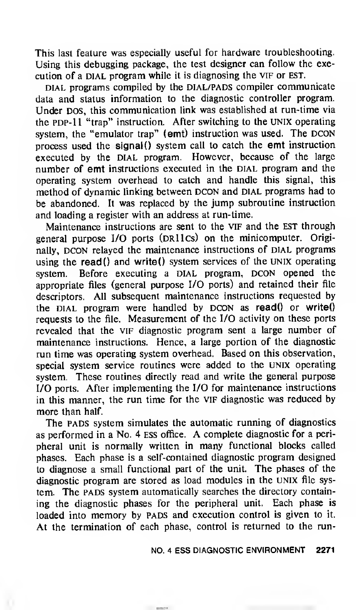This last feature was especially useful for hardware troubleshooting. Using this debugging package, the test designer can follow the execution of a DIAL program while it is diagnosing the VIF or EST.

DIAL programs compiled by the DIAL/PADS compiler communicate data and status information to the diagnostic controller program. Under DOS, this communication link was established at run-time via the PDP-11 "trap" instruction. After switching to the UNIX operating system, the "emulator trap" (emt) instruction was used. The DCON process used the signal() system call to catch the emt instruction executed by the DIAL program. However, because of the large number of emt instructions executed in the DIAL program and the operating system overhead to catch and handle this signal, this method of dynamic linking between DCON and DIAL programs had to be abandoned. It was replaced by the jump subroutine instruction and loading a register with an address at run-time.

Maintenance instructions are sent to the vif and the EST through general purpose I/O ports (DRIICs) on the minicomputer. Originally, DCON relayed the maintenance instructions of DIAL programs using the read() and write() system services of the UNIX operating system. Before executing a DIAL program, DCON opened the appropriate files (general purpose I/O ports) and retained their file descriptors. All subsequent maintenance instructions requested by the DIAL program were handled by  $DCON$  as read $()$  or write $()$ requests to the file. Measurement of the I/O activity on these ports revealed that the vif diagnostic program sent a large number of maintenance instructions. Hence, a large portion of the diagnostic run time was operating system overhead. Based on this observation, special system service routines were added to the UNIX operating system. These routines directly read and write the general purpose I/O ports. After implementing the I/O for maintenance instructions in this manner, the run time for the VIF diagnostic was reduced by more than half.

The PADS system simulates the automatic running of diagnostics as performed in <sup>a</sup> No. <sup>4</sup> ESS office. A complete diagnostic for <sup>a</sup> peripheral unit is normally written in many functional blocks called phases. Each phase is a self-contained diagnostic program designed to diagnose a small functional part of the unit. The phases of the diagnostic program are stored as load modules in the UNIX file system. The PADS system automatically searches the directory containing the diagnostic phases for the peripheral unit. Each phase is loaded into memory by PADS and execution control is given to it. At the termination of each phase, control is returned to the run-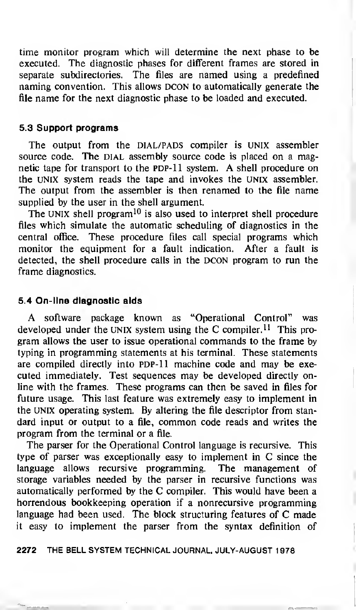time monitor program which will determine the next phase to be executed. The diagnostic phases for different frames are stored in separate subdirectories. The files are named using a predefined naming convention. This allows DCON to automatically generate the file name for the next diagnostic phase to be loaded and executed.

#### 5.3 Support programs

The output from the DIAL/PADS compiler is UNIX assembler source code. The DIAL assembly source code is placed on a magnetic tape for transport to the PDP-11 system. A shell procedure on the UNIX system reads the tape and invokes the UNIX assembler. The output from the assembler is then renamed to the file name supplied by the user in the shell argument.

The UNIX shell program<sup>10</sup> is also used to interpret shell procedure files which simulate the automatic scheduling of diagnostics in the central office. These procedure files call special programs which monitor the equipment for a fault indication. After a fault is detected, the shell procedure calls in the DCON program to run the frame diagnostics.

#### 5.4 On-line diagnostic aids

A software package known as "Operational Control" was developed under the UNIX system using the C compiler.<sup>11</sup> This program allows the user to issue operational commands to the frame by typing in programming statements at his terminal. These statements are compiled directly into PDP-11 machine code and may be executed immediately. Test sequences may be developed directly online with the frames. These programs can then be saved in files for future usage. This last feature was extremely easy to implement in the UNIX operating system. By altering the file descriptor from standard input or output to <sup>a</sup> file, common code reads and writes the program from the terminal or a file.

The parser for the Operational Control language is recursive. This type of parser was exceptionally easy to implement in C since the language allows recursive programming. The management of storage variables needed by the parser in recursive functions was automatically performed by the C compiler. This would have been <sup>a</sup> horrendous bookkeeping operation if a nonrecursive programming language had been used. The block structuring features of C made it easy to implement the parser from the syntax definition of

2272 THE BELL SYSTEM TECHNICAL JOURNAL, JULY-AUGUST 1978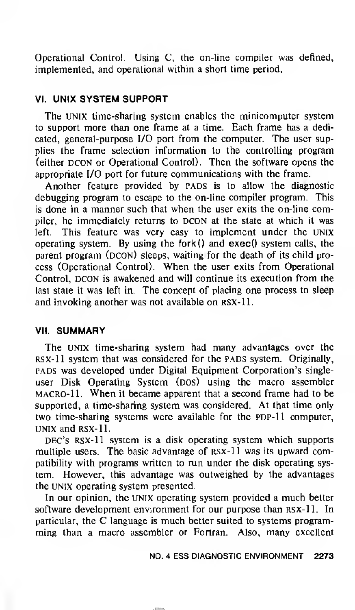Operational Control. Using C, the on-line compiler was defined, implemented, and operational within a short time period.

#### VI. UNIX SYSTEM SUPPORT

The UNIX time-sharing system enables the minicomputer system to support more than one frame at a time. Each frame has a dedicated, general-purpose I/O port from the computer. The user supplies the frame selection information to the controlling program (either DCON or Operational Control). Then the software opens the appropriate I/O port for future communications with the frame.

Another feature provided by PADS is to allow the diagnostic debugging program to escape to the on-line compiler program. This is done in <sup>a</sup> manner such that when the user exits the on-line compiler, he immediately returns to DCON at the state at which it was left. This feature was very easy to implement under the UNIX operating system. By using the fork() and exec() system calls, the parent program (DCON) sleeps, waiting for the death of its child process (Operational Control). When the user exits from Operational Control, DCON is awakened and will continue its execution from the last state it was left in. The concept of placing one process to sleep and invoking another was not available on rsx-11.

#### VII. SUMMARY

The UNIX time-sharing system had many advantages over the RSX-11 system that was considered for the PADS system. Originally, pads was developed under Digital Equipment Corporation's singleuser Disk Operating System (DOS) using the macro assembler macro-11. When it became apparent that <sup>a</sup> second frame had to be supported, a time-sharing system was considered. At that time only two time-sharing systems were available for the PDP-11 computer, unix and rsx-11.

DEC's RSX-11 system is a disk operating system which supports multiple users. The basic advantage of rsx-11 was its upward compatibility with programs written to run under the disk operating system. However, this advantage was outweighed by the advantages the UNIX operating system presented.

In our opinion, the UNIX operating system provided a much better software development environment for our purpose than RSX-11. In particular, the C language is much better suited to systems programming than a macro assembler or Fortran. Also, many excellent